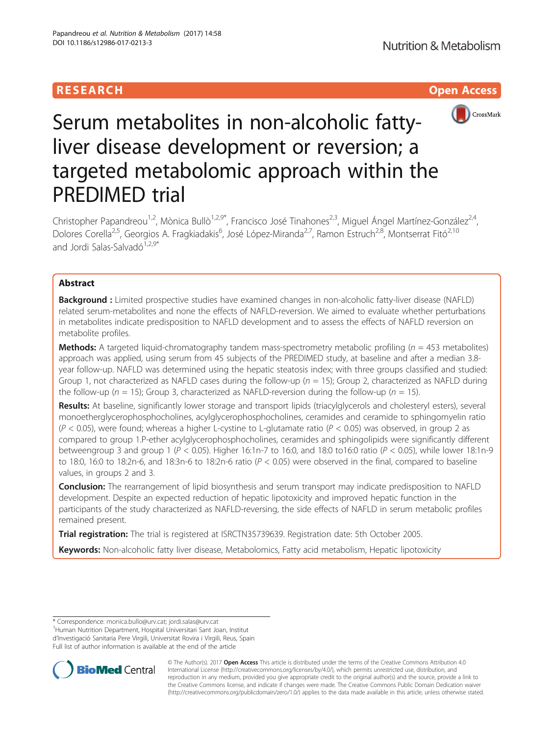## RESEARCH **RESEARCH CHOOSE ACCESS**



# Serum metabolites in non-alcoholic fattyliver disease development or reversion; a targeted metabolomic approach within the PREDIMED trial

Christopher Papandreou<sup>1,2</sup>, Mònica Bullò<sup>1,2,9\*</sup>, Francisco José Tinahones<sup>2,3</sup>, Miguel Ángel Martínez-González<sup>2,4</sup>, Dolores Corella<sup>2,5</sup>, Georgios A. Fragkiadakis<sup>6</sup>, José López-Miranda<sup>2,7</sup>, Ramon Estruch<sup>2,8</sup>, Montserrat Fitó<sup>2,10</sup> and Jordi Salas-Salvadó<sup>1,2,9\*</sup>

### Abstract

**Background :** Limited prospective studies have examined changes in non-alcoholic fatty-liver disease (NAFLD) related serum-metabolites and none the effects of NAFLD-reversion. We aimed to evaluate whether perturbations in metabolites indicate predisposition to NAFLD development and to assess the effects of NAFLD reversion on metabolite profiles.

**Methods:** A targeted liquid-chromatography tandem mass-spectrometry metabolic profiling ( $n = 453$  metabolites) approach was applied, using serum from 45 subjects of the PREDIMED study, at baseline and after a median 3.8 year follow-up. NAFLD was determined using the hepatic steatosis index; with three groups classified and studied: Group 1, not characterized as NAFLD cases during the follow-up ( $n = 15$ ); Group 2, characterized as NAFLD during the follow-up ( $n = 15$ ); Group 3, characterized as NAFLD-reversion during the follow-up ( $n = 15$ ).

Results: At baseline, significantly lower storage and transport lipids (triacylglycerols and cholesteryl esters), several monoetherglycerophosphocholines, acylglycerophosphocholines, ceramides and ceramide to sphingomyelin ratio  $(P < 0.05)$ , were found; whereas a higher L-cystine to L-glutamate ratio  $(P < 0.05)$  was observed, in group 2 as compared to group 1.P-ether acylglycerophosphocholines, ceramides and sphingolipids were significantly different betweengroup 3 and group 1 ( $P < 0.05$ ). Higher 16:1n-7 to 16:0, and 18:0 to16:0 ratio ( $P < 0.05$ ), while lower 18:1n-9 to 18:0, 16:0 to 18:2n-6, and 18:3n-6 to 18:2n-6 ratio  $(P < 0.05)$  were observed in the final, compared to baseline values, in groups 2 and 3.

**Conclusion:** The rearrangement of lipid biosynthesis and serum transport may indicate predisposition to NAFLD development. Despite an expected reduction of hepatic lipotoxicity and improved hepatic function in the participants of the study characterized as NAFLD-reversing, the side effects of NAFLD in serum metabolic profiles remained present.

Trial registration: The trial is registered at [ISRCTN35739639](http://www.isrctn.com/ISRCTN35739639). Registration date: 5th October 2005.

Keywords: Non-alcoholic fatty liver disease, Metabolomics, Fatty acid metabolism, Hepatic lipotoxicity

<sup>1</sup>Human Nutrition Department, Hospital Universitari Sant Joan, Institut d'Investigació Sanitaria Pere Virgili, Universitat Rovira i Virgili, Reus, Spain Full list of author information is available at the end of the article



© The Author(s). 2017 **Open Access** This article is distributed under the terms of the Creative Commons Attribution 4.0 International License [\(http://creativecommons.org/licenses/by/4.0/](http://creativecommons.org/licenses/by/4.0/)), which permits unrestricted use, distribution, and reproduction in any medium, provided you give appropriate credit to the original author(s) and the source, provide a link to the Creative Commons license, and indicate if changes were made. The Creative Commons Public Domain Dedication waiver [\(http://creativecommons.org/publicdomain/zero/1.0/](http://creativecommons.org/publicdomain/zero/1.0/)) applies to the data made available in this article, unless otherwise stated.

<sup>\*</sup> Correspondence: [monica.bullo@urv.cat](mailto:monica.bullo@urv.cat); [jordi.salas@urv.cat](mailto:jordi.salas@urv.cat) <sup>1</sup>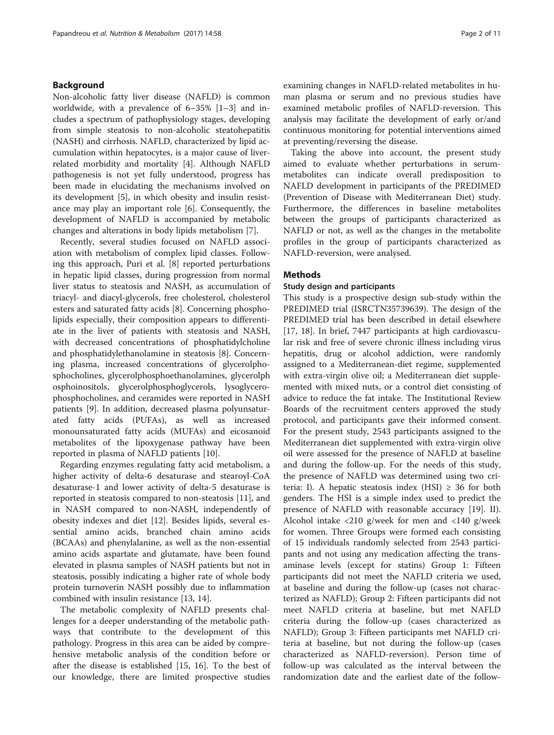#### Background

Non-alcoholic fatty liver disease (NAFLD) is common worldwide, with a prevalence of 6–35% [\[1](#page-9-0)–[3\]](#page-9-0) and includes a spectrum of pathophysiology stages, developing from simple steatosis to non-alcoholic steatohepatitis (NASH) and cirrhosis. NAFLD, characterized by lipid accumulation within hepatocytes, is a major cause of liverrelated morbidity and mortality [[4\]](#page-9-0). Although NAFLD pathogenesis is not yet fully understood, progress has been made in elucidating the mechanisms involved on its development [[5\]](#page-9-0), in which obesity and insulin resistance may play an important role [[6\]](#page-9-0). Consequently, the development of NAFLD is accompanied by metabolic changes and alterations in body lipids metabolism [[7\]](#page-9-0).

Recently, several studies focused on NAFLD association with metabolism of complex lipid classes. Following this approach, Puri et al. [[8\]](#page-9-0) reported perturbations in hepatic lipid classes, during progression from normal liver status to steatosis and NASH, as accumulation of triacyl- and diacyl-glycerols, free cholesterol, cholesterol esters and saturated fatty acids [\[8](#page-9-0)]. Concerning phospholipids especially, their composition appears to differentiate in the liver of patients with steatosis and NASH, with decreased concentrations of phosphatidylcholine and phosphatidylethanolamine in steatosis [\[8](#page-9-0)]. Concerning plasma, increased concentrations of glycerolphosphocholines, glycerolphosphoethanolamines, glycerolph osphoinositols, glycerolphosphoglycerols, lysoglycerophosphocholines, and ceramides were reported in NASH patients [[9\]](#page-9-0). In addition, decreased plasma polyunsaturated fatty acids (PUFAs), as well as increased monounsaturated fatty acids (MUFAs) and eicosanoid metabolites of the lipoxygenase pathway have been reported in plasma of NAFLD patients [\[10](#page-9-0)].

Regarding enzymes regulating fatty acid metabolism, a higher activity of delta-6 desaturase and stearoyl-CoA desaturase-1 and lower activity of delta-5 desaturase is reported in steatosis compared to non-steatosis [\[11](#page-10-0)], and in NASH compared to non-NASH, independently of obesity indexes and diet [\[12](#page-10-0)]. Besides lipids, several essential amino acids, branched chain amino acids (BCAAs) and phenylalanine, as well as the non-essential amino acids aspartate and glutamate, have been found elevated in plasma samples of NASH patients but not in steatosis, possibly indicating a higher rate of whole body protein turnoverin NASH possibly due to inflammation combined with insulin resistance [[13](#page-10-0), [14](#page-10-0)].

The metabolic complexity of NAFLD presents challenges for a deeper understanding of the metabolic pathways that contribute to the development of this pathology. Progress in this area can be aided by comprehensive metabolic analysis of the condition before or after the disease is established [[15, 16\]](#page-10-0). To the best of our knowledge, there are limited prospective studies examining changes in NAFLD-related metabolites in human plasma or serum and no previous studies have examined metabolic profiles of NAFLD-reversion. This analysis may facilitate the development of early or/and continuous monitoring for potential interventions aimed at preventing/reversing the disease.

Taking the above into account, the present study aimed to evaluate whether perturbations in serummetabolites can indicate overall predisposition to NAFLD development in participants of the PREDIMED (Prevention of Disease with Mediterranean Diet) study. Furthermore, the differences in baseline metabolites between the groups of participants characterized as NAFLD or not, as well as the changes in the metabolite profiles in the group of participants characterized as NAFLD-reversion, were analysed.

#### **Methods**

#### Study design and participants

This study is a prospective design sub-study within the PREDIMED trial (ISRCTN35739639). The design of the PREDIMED trial has been described in detail elsewhere [[17, 18](#page-10-0)]. In brief, 7447 participants at high cardiovascular risk and free of severe chronic illness including virus hepatitis, drug or alcohol addiction, were randomly assigned to a Mediterranean-diet regime, supplemented with extra-virgin olive oil; a Mediterranean diet supplemented with mixed nuts, or a control diet consisting of advice to reduce the fat intake. The Institutional Review Boards of the recruitment centers approved the study protocol, and participants gave their informed consent. For the present study, 2543 participants assigned to the Mediterranean diet supplemented with extra-virgin olive oil were assessed for the presence of NAFLD at baseline and during the follow-up. For the needs of this study, the presence of NAFLD was determined using two criteria: I). A hepatic steatosis index (HSI)  $\geq$  36 for both genders. The HSI is a simple index used to predict the presence of NAFLD with reasonable accuracy [\[19\]](#page-10-0). II). Alcohol intake <210 g/week for men and <140 g/week for women. Three Groups were formed each consisting of 15 individuals randomly selected from 2543 participants and not using any medication affecting the transaminase levels (except for statins) Group 1: Fifteen participants did not meet the NAFLD criteria we used, at baseline and during the follow-up (cases not characterized as NAFLD); Group 2: Fifteen participants did not meet NAFLD criteria at baseline, but met NAFLD criteria during the follow-up (cases characterized as NAFLD); Group 3: Fifteen participants met NAFLD criteria at baseline, but not during the follow-up (cases characterized as NAFLD-reversion). Person time of follow-up was calculated as the interval between the randomization date and the earliest date of the follow-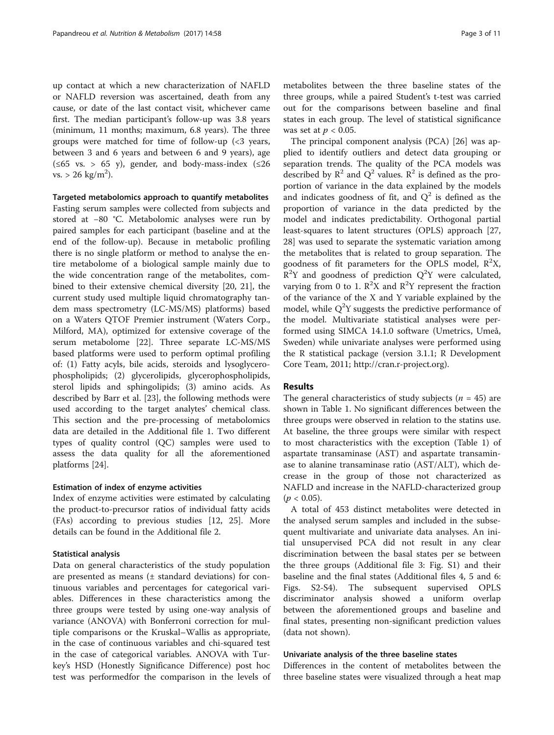up contact at which a new characterization of NAFLD or NAFLD reversion was ascertained, death from any cause, or date of the last contact visit, whichever came first. The median participant's follow-up was 3.8 years (minimum, 11 months; maximum, 6.8 years). The three groups were matched for time of follow-up (<3 years, between 3 and 6 years and between 6 and 9 years), age  $(\leq 65 \text{ vs. } > 65 \text{ y})$ , gender, and body-mass-index  $(\leq 26$  $vs. > 26 \text{ kg/m}^2$ ).

Targeted metabolomics approach to quantify metabolites Fasting serum samples were collected from subjects and stored at −80 °C. Metabolomic analyses were run by paired samples for each participant (baseline and at the end of the follow-up). Because in metabolic profiling there is no single platform or method to analyse the en-

tire metabolome of a biological sample mainly due to the wide concentration range of the metabolites, combined to their extensive chemical diversity [\[20](#page-10-0), [21](#page-10-0)], the current study used multiple liquid chromatography tandem mass spectrometry (LC-MS/MS) platforms) based on a Waters QTOF Premier instrument (Waters Corp., Milford, MA), optimized for extensive coverage of the serum metabolome [[22](#page-10-0)]. Three separate LC-MS/MS based platforms were used to perform optimal profiling of: (1) Fatty acyls, bile acids, steroids and lysoglycerophospholipids; (2) glycerolipids, glycerophospholipids, sterol lipids and sphingolipids; (3) amino acids. As described by Barr et al. [[23\]](#page-10-0), the following methods were used according to the target analytes' chemical class. This section and the pre-processing of metabolomics data are detailed in the Additional file [1](#page-8-0). Two different types of quality control (QC) samples were used to assess the data quality for all the aforementioned platforms [[24\]](#page-10-0).

#### Estimation of index of enzyme activities

Index of enzyme activities were estimated by calculating the product-to-precursor ratios of individual fatty acids (FAs) according to previous studies [\[12](#page-10-0), [25](#page-10-0)]. More details can be found in the Additional file [2](#page-8-0).

#### Statistical analysis

Data on general characteristics of the study population are presented as means  $(\pm$  standard deviations) for continuous variables and percentages for categorical variables. Differences in these characteristics among the three groups were tested by using one-way analysis of variance (ANOVA) with Bonferroni correction for multiple comparisons or the Kruskal–Wallis as appropriate, in the case of continuous variables and chi-squared test in the case of categorical variables. ANOVA with Turkey's HSD (Honestly Significance Difference) post hoc test was performedfor the comparison in the levels of metabolites between the three baseline states of the three groups, while a paired Student's t-test was carried out for the comparisons between baseline and final states in each group. The level of statistical significance was set at  $p < 0.05$ .

The principal component analysis (PCA) [[26\]](#page-10-0) was applied to identify outliers and detect data grouping or separation trends. The quality of the PCA models was described by  $\mathbb{R}^2$  and  $\mathbb{Q}^2$  values.  $\mathbb{R}^2$  is defined as the proportion of variance in the data explained by the models and indicates goodness of fit, and  $Q^2$  is defined as the proportion of variance in the data predicted by the model and indicates predictability. Orthogonal partial least-squares to latent structures (OPLS) approach [[27](#page-10-0), [28\]](#page-10-0) was used to separate the systematic variation among the metabolites that is related to group separation. The goodness of fit parameters for the OPLS model,  $R^2X$ ,  $R^2Y$  and goodness of prediction  $Q^2Y$  were calculated, varying from 0 to 1.  $\mathbb{R}^2$ X and  $\mathbb{R}^2$ Y represent the fraction of the variance of the X and Y variable explained by the model, while  $Q^2Y$  suggests the predictive performance of the model. Multivariate statistical analyses were performed using SIMCA 14.1.0 software (Umetrics, Umeå, Sweden) while univariate analyses were performed using the R statistical package (version 3.1.1; R Development Core Team, 2011; [http://cran.r-project.org\)](http://cran.r-project.org/).

#### Results

The general characteristics of study subjects ( $n = 45$ ) are shown in Table [1.](#page-3-0) No significant differences between the three groups were observed in relation to the statins use. At baseline, the three groups were similar with respect to most characteristics with the exception (Table [1\)](#page-3-0) of aspartate transaminase (AST) and aspartate transaminase to alanine transaminase ratio (AST/ALT), which decrease in the group of those not characterized as NAFLD and increase in the NAFLD-characterized group  $(p < 0.05)$ .

A total of 453 distinct metabolites were detected in the analysed serum samples and included in the subsequent multivariate and univariate data analyses. An initial unsupervised PCA did not result in any clear discrimination between the basal states per se between the three groups (Additional file [3:](#page-8-0) Fig. S1) and their baseline and the final states (Additional files [4, 5](#page-8-0) and [6](#page-8-0): Figs. S2-S4). The subsequent supervised OPLS discriminator analysis showed a uniform overlap between the aforementioned groups and baseline and final states, presenting non-significant prediction values (data not shown).

#### Univariate analysis of the three baseline states

Differences in the content of metabolites between the three baseline states were visualized through a heat map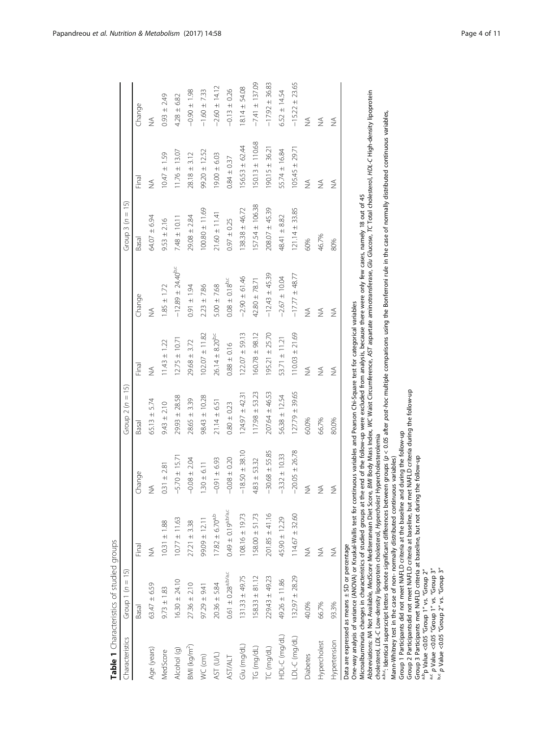<span id="page-3-0"></span>

| Characteristics          | Group 1 ( $n = 15$ )                           |                                                                                                                                            |                    | Group 2 ( $n = 15$ ) |                        |                                                                                                                                                                                                                                                                                                                                                                                                     | Group 3 ( $n = 15$ ) |                    |                    |
|--------------------------|------------------------------------------------|--------------------------------------------------------------------------------------------------------------------------------------------|--------------------|----------------------|------------------------|-----------------------------------------------------------------------------------------------------------------------------------------------------------------------------------------------------------------------------------------------------------------------------------------------------------------------------------------------------------------------------------------------------|----------------------|--------------------|--------------------|
|                          | Basal                                          | Final                                                                                                                                      | Change             | Basal                | Final                  | Change                                                                                                                                                                                                                                                                                                                                                                                              | Basal                | Final              | Change             |
| Age (years)              | $63.47 \pm 6.59$                               | $\frac{1}{2}$                                                                                                                              | $\frac{1}{2}$      | $65.13 \pm 5.74$     | $\frac{1}{2}$          | ≸                                                                                                                                                                                                                                                                                                                                                                                                   | $64.07 \pm 6.94$     | $\frac{1}{2}$      | $\frac{1}{2}$      |
| <b>MedScore</b>          | $9.73 \pm 1.83$                                | $10.31 \pm 1.88$                                                                                                                           | $0.31 \pm 2.81$    | $9.43 \pm 2.10$      | $11.43 \pm 1.22$       | $1.85 \pm 1.72$                                                                                                                                                                                                                                                                                                                                                                                     | $9.53 \pm 2.16$      | $10.47 \pm 1.59$   | $0.93 \pm 2.49$    |
| Alcohol (g)              | $16.30 \pm 24.10$                              | $10.77 \pm 11.63$                                                                                                                          | $-5.70 \pm 15.7$   | $29.93 \pm 28.58$    | $12.75 \pm 10.71$      | $-12.89 \pm 24.40^{b,c}$                                                                                                                                                                                                                                                                                                                                                                            | $7.48 \pm 10.11$     | $11.76 \pm 13.07$  | $4.28 \pm 6.82$    |
| BMI (kg/m <sup>2</sup> ) | $27.36 \pm 2.10$                               | $27.21 \pm 3.38$                                                                                                                           | $-0.08 \pm 2.04$   | $28.65 \pm 3.39$     | $29.68 \pm 3.72$       | $0.91 \pm 1.94$                                                                                                                                                                                                                                                                                                                                                                                     | $29.08 \pm 2.84$     | $28.18 \pm 3.12$   | $-0.90 \pm 1.98$   |
| WC (cm)                  | $97.29 \pm 9.41$                               | $99.09 \pm 12.11$                                                                                                                          | $1.30 \pm 6.11$    | $98.43 \pm 10.28$    | $102.07 \pm 11.82$     | $2.23 \pm 7.86$                                                                                                                                                                                                                                                                                                                                                                                     | $100.80 \pm 11.69$   | $99.20 \pm 12.52$  | $-1.60 \pm 7.33$   |
| AST (U/L)                | $20.36 \pm 5.84$                               | $17.82 \pm 6.70^{a,b}$                                                                                                                     | $-0.91 \pm 6.93$   | $21.14 \pm 6.51$     | $26.14 \pm 8.20^{b,c}$ | $5.00 \pm 7.68$                                                                                                                                                                                                                                                                                                                                                                                     | $21.60 \pm 11.41$    | $19.00 \pm 6.03$   | $-2.60 \pm 14.12$  |
| <b>AST/ALT</b>           | $0.61 \pm 0.28^{a,b/a,c}$                      | $0.49 \pm 0.19^{a,b/a,c}$                                                                                                                  | $-0.08 \pm 0.20$   | $0.80 \pm 0.23$      | $0.88 \pm 0.16$        | $0.08 \pm 0.18^{b,c}$                                                                                                                                                                                                                                                                                                                                                                               | $0.97 \pm 0.25$      | $0.84 \pm 0.37$    | $-0.13 \pm 0.26$   |
| Glu (mg/dL)              | $131.33 \pm 49.75$                             | $108.16 \pm 19.73$                                                                                                                         | $-18.50 \pm 38.10$ | $124.97 \pm 42.3$    | $122.07 \pm 59.13$     | $-2.90 \pm 61.46$                                                                                                                                                                                                                                                                                                                                                                                   | $138.38 \pm 46.72$   | $156.53 \pm 62.44$ | 18.14 ± 54.08      |
| TG (mg/dL)               | $158.33 \pm 81.12$                             | $158.00 \pm 51.73$                                                                                                                         | $4.83 + 53.32$     | $117.98 \pm 53.23$   | $160.78 \pm 98.12$     | $42.80 \pm 78.71$                                                                                                                                                                                                                                                                                                                                                                                   | 157.54 ± 106.38      | 150.13 ± 110.68    | $-7.41 \pm 137.09$ |
| TC (mg/dL)               | $229.43 \pm 49.23$                             | $201.85 \pm 41.16$                                                                                                                         | $-30.68 \pm 55.85$ | 207.64 ± 46.53       | $195.21 \pm 25.70$     | $-12.43 \pm 45.39$                                                                                                                                                                                                                                                                                                                                                                                  | $208.07 \pm 45.39$   | $190.15 \pm 36.21$ | $-17.92 \pm 36.83$ |
| HDL-C (mg/dL)            | 49.26 ± 11.86                                  | $45.90 \pm 12.29$                                                                                                                          | $-3.32 \pm 10.33$  | 56.38 ± 12.54        | 53.71 ± 11.21          | $-2.67 \pm 10.04$                                                                                                                                                                                                                                                                                                                                                                                   | 48.41 ± 8.82         | 55.74 ± 16.84      | $6.52 \pm 14.54$   |
| LDL-C (mg/dL)            | $132.97 \pm 28.29$                             | $114.67 \pm 32.60$                                                                                                                         | $-20.05 \pm 26.78$ | $127.79 \pm 39.65$   | $110.03 \pm 21.69$     | $-17.77 \pm 48.77$                                                                                                                                                                                                                                                                                                                                                                                  | $121.14 \pm 33.85$   | $105.45 \pm 29.71$ | $-15.22 \pm 23.65$ |
| Diabetes                 | 40.0%                                          | $\frac{1}{2}$                                                                                                                              | ≸                  | 60.0%                | $\frac{1}{2}$          | ≸                                                                                                                                                                                                                                                                                                                                                                                                   | 60%                  | ≸                  | $\frac{1}{2}$      |
| Hypercholest             | 66.7%                                          | $\frac{4}{2}$                                                                                                                              | $\frac{4}{2}$      | 66.7%                | $\frac{1}{2}$          | ₹                                                                                                                                                                                                                                                                                                                                                                                                   | 46.7%                | $\frac{4}{2}$      | $\frac{4}{2}$      |
| Hypertension             | 93.3%                                          | $\frac{1}{2}$                                                                                                                              | ⋚                  | 80.0%                | $\frac{1}{2}$          | ≸                                                                                                                                                                                                                                                                                                                                                                                                   | 80%                  | $\frac{1}{2}$      | $\frac{1}{2}$      |
|                          | Data are expressed as means ± SD or percentage | One-way analysis of variance (ANOVA) or Kruskal-Wallis test for continuous variables and Pearson Chi-Square test for categorical variables |                    |                      |                        | Abbreviations: MA Not Available, MedScore Mediterranean Diet Score, BMI Body Mass Index, WC Waist Circumference, AST aspartate aminotransferase, Glu Glucose, TC Total cholesterol, HDJ-C High-density lipoprotein<br>Microalbuminuria changes in characteristics of studied groups at the end of the follow-up were excluded from analysis, because there were only few cases, namely 18 out of 45 |                      |                    |                    |
|                          |                                                |                                                                                                                                            |                    |                      |                        |                                                                                                                                                                                                                                                                                                                                                                                                     |                      |                    |                    |

Abbreviations: MA Not Available, MedScore Mediterranean Diet Score, BMI Body Mass Index, WC Waist Circumference, AST aspartate aminotransferase, Glu Glucose, TC Total cholesterol, HDL-C High-density lipoprotein cholesterol, LDL-C Low-density lipoprotein cholesterol, Hypercholest Hypercholesterolemia

cholesterol, LDL-C Low-density lipoprotein cholesterol, Hypercholest Hypercholesterolemia<br><sup>abc</sup>: Identical superscript letters denote significant differences between groups (p < 0.05 after *post-hoc* multiple comparisons a<sup>b,c</sup>: Identical superscript letters denote significant differences between groups (p < 0.05 after *post-hoc* multiple comparisons using the Bonferroni rule in the case of normally distributed continuous variables,

Mann-Whitney test in the case of non- normally distributed continuous variables) Mann-Whitney test in the case of non- normally distributed continuous variables)

Group 1 Participants did not meet NAFLD criteria at the baseline and during the follow-up<br>Group 2 Participants did not meet NAFLD criteria at the baseline and during the follow-up<br>Group 3 Participants met NAFLD criteria at Group 2 Participantsdid not meet NAFLD criteria at baseline, but met NAFLD criteria during the follow-up Group 1 Participants did not meet NAFLD criteria at the baseline and during the follow-up

Group 3 Participants met NAFLD criteria at baseline, but not during the follow-up

 $^{\rm ab}$ p Value <0.05 "Group 1" vs. "Group 2"

 $\alpha_c$  p Value <0.05 "Group 1" vs. "Group 3"

 $^{\rm bc}$  p Value <0.05 "Group 2" vs. "Group 3"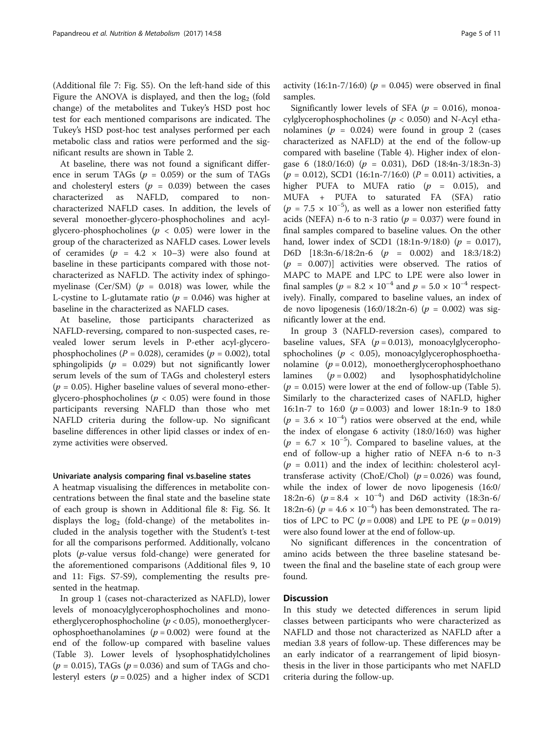(Additional file [7:](#page-8-0) Fig. S5). On the left-hand side of this Figure the ANOVA is displayed, and then the  $log<sub>2</sub>$  (fold change) of the metabolites and Tukey's HSD post hoc test for each mentioned comparisons are indicated. The Tukey's HSD post-hoc test analyses performed per each metabolic class and ratios were performed and the significant results are shown in Table [2.](#page-5-0)

At baseline, there was not found a significant difference in serum TAGs ( $p = 0.059$ ) or the sum of TAGs and cholesteryl esters ( $p = 0.039$ ) between the cases characterized as NAFLD, compared to noncharacterized NAFLD cases. In addition, the levels of several monoether-glycero-phosphocholines and acylglycero-phosphocholines ( $p < 0.05$ ) were lower in the group of the characterized as NAFLD cases. Lower levels of ceramides ( $p = 4.2 \times 10-3$ ) were also found at baseline in these participants compared with those notcharacterized as NAFLD. The activity index of sphingomyelinase (Cer/SM) ( $p = 0.018$ ) was lower, while the L-cystine to L-glutamate ratio ( $p = 0.046$ ) was higher at baseline in the characterized as NAFLD cases.

At baseline, those participants characterized as NAFLD-reversing, compared to non-suspected cases, revealed lower serum levels in P-ether acyl-glycerophosphocholines ( $P = 0.028$ ), ceramides ( $p = 0.002$ ), total sphingolipids ( $p = 0.029$ ) but not significantly lower serum levels of the sum of TAGs and cholesteryl esters  $(p = 0.05)$ . Higher baseline values of several mono-etherglycero-phosphocholines ( $p < 0.05$ ) were found in those participants reversing NAFLD than those who met NAFLD criteria during the follow-up. No significant baseline differences in other lipid classes or index of enzyme activities were observed.

#### Univariate analysis comparing final vs.baseline states

A heatmap visualising the differences in metabolite concentrations between the final state and the baseline state of each group is shown in Additional file [8:](#page-8-0) Fig. S6. It displays the  $log<sub>2</sub>$  (fold-change) of the metabolites included in the analysis together with the Student's t-test for all the comparisons performed. Additionally, volcano plots (p-value versus fold-change) were generated for the aforementioned comparisons (Additional files [9](#page-9-0), [10](#page-9-0) and [11](#page-9-0): Figs. S7-S9), complementing the results presented in the heatmap.

In group 1 (cases not-characterized as NAFLD), lower levels of monoacylglycerophosphocholines and monoetherglycerophosphocholine ( $p < 0.05$ ), monoetherglycerophosphoethanolamines  $(p = 0.002)$  were found at the end of the follow-up compared with baseline values (Table [3](#page-6-0)). Lower levels of lysophosphatidylcholines  $(p = 0.015)$ , TAGs  $(p = 0.036)$  and sum of TAGs and cholesteryl esters ( $p = 0.025$ ) and a higher index of SCD1

samples. Significantly lower levels of SFA ( $p = 0.016$ ), monoacylglycerophosphocholines ( $p < 0.050$ ) and N-Acyl ethanolamines ( $p = 0.024$ ) were found in group 2 (cases characterized as NAFLD) at the end of the follow-up compared with baseline (Table [4\)](#page-6-0). Higher index of elongase 6 (18:0/16:0) ( $p = 0.031$ ), D6D (18:4n-3/18:3n-3)  $(p = 0.012)$ , SCD1 (16:1n-7/16:0)  $(P = 0.011)$  activities, a higher PUFA to MUFA ratio  $(p = 0.015)$ , and MUFA + PUFA to saturated FA (SFA) ratio  $(p = 7.5 \times 10^{-5})$ , as well as a lower non esterified fatty acids (NEFA) n-6 to n-3 ratio ( $p = 0.037$ ) were found in final samples compared to baseline values. On the other hand, lower index of SCD1  $(18:1n-9/18:0)$   $(p = 0.017)$ , D6D [18:3n-6/18:2n-6 (p = 0.002) and 18:3/18:2)  $(p = 0.007)$ ] activities were observed. The ratios of MAPC to MAPE and LPC to LPE were also lower in final samples ( $p = 8.2 \times 10^{-4}$  and  $p = 5.0 \times 10^{-4}$  respectively). Finally, compared to baseline values, an index of de novo lipogenesis (16:0/18:2n-6) ( $p = 0.002$ ) was significantly lower at the end.

In group 3 (NAFLD-reversion cases), compared to baseline values, SFA  $(p = 0.013)$ , monoacylglycerophosphocholines ( $p < 0.05$ ), monoacylglycerophosphoethanolamine  $(p = 0.012)$ , monoetherglycerophosphoethano lamines  $(p = 0.002)$  and lysophosphatidylcholine  $(p = 0.015)$  were lower at the end of follow-up (Table [5](#page-7-0)). Similarly to the characterized cases of NAFLD, higher 16:1n-7 to 16:0 ( $p = 0.003$ ) and lower 18:1n-9 to 18:0  $(p = 3.6 \times 10^{-4})$  ratios were observed at the end, while the index of elongase 6 activity (18:0/16:0) was higher  $(p = 6.7 \times 10^{-5})$ . Compared to baseline values, at the end of follow-up a higher ratio of NEFA n-6 to n-3  $(p = 0.011)$  and the index of lecithin: cholesterol acyltransferase activity (ChoE/Chol) ( $p = 0.026$ ) was found, while the index of lower de novo lipogenesis (16:0/ 18:2n-6) ( $p = 8.4 \times 10^{-4}$ ) and D6D activity (18:3n-6/ 18:2n-6) ( $p = 4.6 \times 10^{-4}$ ) has been demonstrated. The ratios of LPC to PC ( $p = 0.008$ ) and LPE to PE ( $p = 0.019$ ) were also found lower at the end of follow-up.

No significant differences in the concentration of amino acids between the three baseline statesand between the final and the baseline state of each group were found.

#### **Discussion**

In this study we detected differences in serum lipid classes between participants who were characterized as NAFLD and those not characterized as NAFLD after a median 3.8 years of follow-up. These differences may be an early indicator of a rearrangement of lipid biosynthesis in the liver in those participants who met NAFLD criteria during the follow-up.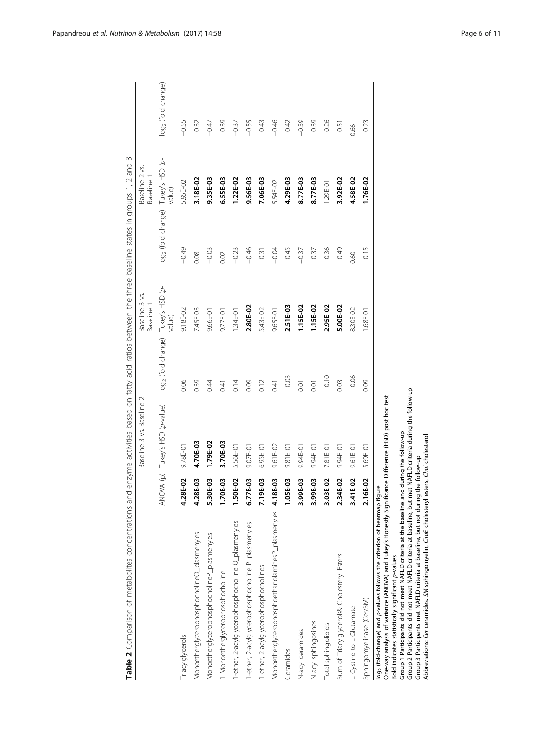<span id="page-5-0"></span>

| Table 2 Comparison of metabolites concentrations and enzyme activities based on fatty acid ratios between the three baseline states in groups 1, 2 and 3 |                        |                           |                                |                            |                                                |                                         |                                |
|----------------------------------------------------------------------------------------------------------------------------------------------------------|------------------------|---------------------------|--------------------------------|----------------------------|------------------------------------------------|-----------------------------------------|--------------------------------|
|                                                                                                                                                          |                        | Baseline 3 vs. Baseline 2 |                                | Baseline 3 vs.<br>Baseline |                                                | Baseline 2 vs.<br>Baseline <sup>-</sup> |                                |
|                                                                                                                                                          | ANOVA (p)              | Tukey's HSD (p-value)     | log <sub>2</sub> (fold change) | Tukey's HSD (p-<br>value)  | log <sub>2</sub> (fold change) Tukey's HSD (p- | value)                                  | log <sub>2</sub> (fold change) |
| Triacylglycerols                                                                                                                                         | 4.28E-02               | 9.78E-0                   | 0.06                           | 9.18E-02                   | $-0.49$                                        | 5.95E-02                                | $-0.55$                        |
| MonoetherglycerophosphocholineO_plasmenyles                                                                                                              | 4.28E-03               | 4.70E-03                  | 0.39                           | 7.45E-03                   | 0.08                                           | 3.18E-02                                | $-0.32$                        |
| MonoetherglycerophosphocholineP_plasmenyles                                                                                                              | 5.30E-03               | 1.79E-02                  | 0.44                           | 9.66E-01                   | $-0.03$                                        | 9.35E-03                                | $-0.47$                        |
| 1-Monoetherglycerophosphocholine                                                                                                                         | 1.70E-03               | 3.70E-03                  | $\overline{0.41}$              | 9.77E-01                   | 0.02                                           | 6.55E-03                                | $-0.39$                        |
| 1-ether, 2-acylglycerophosphocholine O_plasmenyles                                                                                                       | 1.50E-02               | 5.56E-01                  | 0.14                           | $1.34E - 01$               | $-0.23$                                        | 1.22E-02                                | $-0.37$                        |
| 1-ether, 2-acylglycerophosphocholine P_plasmenyles                                                                                                       | 6.77E-03               | 9.07E-01                  | 0.09                           | 2.80E-02                   | $-0.46$                                        | 9.56E-03                                | $-0.55$                        |
| 1-ether, 2-acylglycerophosphocholines                                                                                                                    | I9E-03                 | 6.95E-01                  | 0.12                           | 5.43E-02                   | $-0.31$                                        | 7.06E-03                                | $-0.43$                        |
| MonoetherglycerophosphoethanolaminesP_plasmenyles                                                                                                        | 8E-03<br>$\ddot{=}$    | 9.61E-02                  | 0.41                           | 9.65E-01                   | $-0.04$                                        | 5.54E-02                                | $-0.46$                        |
| Ceramides                                                                                                                                                | 1.05E-03               | 9.81E-01                  | $-0.03$                        | 2.51E-03                   | $-0.45$                                        | 4.29E-03                                | $-0.42$                        |
| N-acyl ceramides                                                                                                                                         | 3.99E-03               | 9.94E-01                  | $\overline{0}$                 | 1.15E-02                   | $-0.37$                                        | 8.77E-03                                | $-0.39$                        |
| N-acyl sphingosines                                                                                                                                      | 3.99E-03               | 9.94E-01                  | 0.01                           | 1.15E-02                   | $-0.37$                                        | 8.77E-03                                | $-0.39$                        |
| Total sphingolipids                                                                                                                                      | 3E-02<br>$\frac{5}{2}$ | 7.81E-01                  | $-0.10$                        | 2.95E-02                   | $-0.36$                                        | 1.29E-01                                | $-0.26$                        |
| Sum of Triacylglycerols& Cholesteryl Esters                                                                                                              | 34E-02<br>$\ddot{a}$   | 9.94E-01                  | 0.03                           | 5.00E-02                   | $-0.49$                                        | 3.92E-02                                | $-0.51$                        |
| L-Cystine to L-Glutamate                                                                                                                                 | <b>I1E-02</b><br>3.4   | 9.61E-01                  | $-0.06$                        | 8.30E-02                   | 0.60                                           | 4.58E-02                                | 0.66                           |
| Sphingomyelinase (Cer/SM)                                                                                                                                | 6E-02                  | 5.69E-01                  | 0.09                           | 1.68E-01                   | $-0.15$                                        | 1.76E-02                                | $-0.23$                        |
| log <sub>2</sub> (fold-change) and p-values follows the criterion of heatmap figure                                                                      |                        |                           |                                |                            |                                                |                                         |                                |

One-way analysis of variance (ANOVA) and Tukey's Honestly Significance Difference (HSD) post hoc test One-way analysis of variance (ANOVA) and Tukey's Honestly Significance Difference (HSD) post hoc test

Bold indicates statistically significant p-values

Group 1 Participants did not meet NAFLD criteria at the baseline and during the follow-up

Bold indicates statistically significant p-values<br>Group 1 Participants did not meet NAFLD criteria at the baseline and during the follow-up<br>Group 2 Participants did not meet NAFLD criteria at baseline, but met NAFLD criter Group 2 Participants did not meet NAFLD criteria at baseline, but met NAFLD criteria during the follow-up Group 3 Participants met NAFLD criteria at baseline, but not during the follow-up

Abbreviations: Cer ceramides, SM sphingomyelin, ChoE cholesteryl esters, Chol cholesterol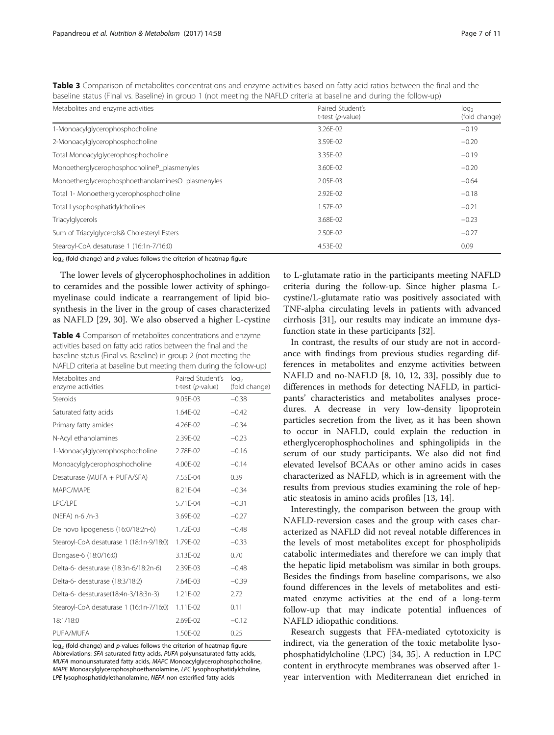<span id="page-6-0"></span>

| Table 3 Comparison of metabolites concentrations and enzyme activities based on fatty acid ratios between the final and the |  |  |  |  |
|-----------------------------------------------------------------------------------------------------------------------------|--|--|--|--|
| baseline status (Final vs. Baseline) in group 1 (not meeting the NAFLD criteria at baseline and during the follow-up)       |  |  |  |  |

| Metabolites and enzyme activities                 | Paired Student's<br>t-test ( $p$ -value) | log <sub>2</sub><br>(fold change) |
|---------------------------------------------------|------------------------------------------|-----------------------------------|
| 1-Monoacylglycerophosphocholine                   | 3.26E-02                                 | $-0.19$                           |
| 2-Monoacylglycerophosphocholine                   | 3.59E-02                                 | $-0.20$                           |
| Total Monoacylglycerophosphocholine               | 3.35F-02                                 | $-0.19$                           |
| MonoetherglycerophosphocholineP_plasmenyles       | 3.60E-02                                 | $-0.20$                           |
| MonoetherglycerophosphoethanolaminesO_plasmenyles | 2.05E-03                                 | $-0.64$                           |
| Total 1- Monoetherglycerophosphocholine           | 2.92E-02                                 | $-0.18$                           |
| Total Lysophosphatidylcholines                    | 1.57E-02                                 | $-0.21$                           |
| Triacylglycerols                                  | 3.68E-02                                 | $-0.23$                           |
| Sum of Triacylglycerols& Cholesteryl Esters       | 2.50E-02                                 | $-0.27$                           |
| Stearoyl-CoA desaturase 1 (16:1n-7/16:0)          | 4.53E-02                                 | 0.09                              |

 $log<sub>2</sub>$  (fold-change) and p-values follows the criterion of heatmap figure

The lower levels of glycerophosphocholines in addition to ceramides and the possible lower activity of sphingomyelinase could indicate a rearrangement of lipid biosynthesis in the liver in the group of cases characterized as NAFLD [[29, 30\]](#page-10-0). We also observed a higher L-cystine

Table 4 Comparison of metabolites concentrations and enzyme activities based on fatty acid ratios between the final and the baseline status (Final vs. Baseline) in group 2 (not meeting the NAFLD criteria at baseline but meeting them during the follow-up)

| Metabolites and<br>enzyme activities     | Paired Student's<br>t-test $(p$ -value) | log <sub>2</sub><br>(fold change) |
|------------------------------------------|-----------------------------------------|-----------------------------------|
| Steroids                                 | 9.05E-03                                | $-0.38$                           |
| Saturated fatty acids                    | 1.64E-02                                | $-0.42$                           |
| Primary fatty amides                     | 4.26E-02                                | $-0.34$                           |
| N-Acyl ethanolamines                     | 2.39E-02                                | $-0.23$                           |
| 1-Monoacylglycerophosphocholine          | 2.78E-02                                | $-0.16$                           |
| Monoacylglycerophosphocholine            | 4.00E-02                                | $-0.14$                           |
| Desaturase (MUFA + PUFA/SFA)             | 7.55E-04                                | 0.39                              |
| MAPC/MAPE                                | 8.21E-04                                | $-0.34$                           |
| LPC/LPE                                  | 5.71E-04                                | $-0.31$                           |
| (NEFA) n-6 /n-3                          | 3.69E-02                                | $-0.27$                           |
| De novo lipogenesis (16:0/18:2n-6)       | 1.72E-03                                | $-0.48$                           |
| Stearoyl-CoA desaturase 1 (18:1n-9/18:0) | 1.79E-02                                | $-0.33$                           |
| Elongase-6 (18:0/16:0)                   | 3.13E-02                                | 0.70                              |
| Delta-6- desaturase (18:3n-6/18:2n-6)    | 2.39E-03                                | $-0.48$                           |
| Delta-6- desaturase (18:3/18:2)          | 7.64E-03                                | $-0.39$                           |
| Delta-6- desaturase(18:4n-3/18:3n-3)     | 1.21E-02                                | 2.72                              |
| Stearoyl-CoA desaturase 1 (16:1n-7/16:0) | 1.11E-02                                | 0.11                              |
| 18:1/18:0                                | 2.69E-02                                | $-0.12$                           |
| PUFA/MUFA                                | 1.50E-02                                | 0.25                              |

 $log<sub>2</sub>$  (fold-change) and p-values follows the criterion of heatmap figure Abbreviations: SFA saturated fatty acids, PUFA polyunsaturated fatty acids, MUFA monounsaturated fatty acids, MAPC Monoacylglycerophosphocholine, MAPE Monoacylglycerophosphoethanolamine, LPC lysophosphatidylcholine, LPE lysophosphatidylethanolamine, NEFA non esterified fatty acids

to L-glutamate ratio in the participants meeting NAFLD criteria during the follow-up. Since higher plasma Lcystine/L-glutamate ratio was positively associated with TNF-alpha circulating levels in patients with advanced cirrhosis [[31](#page-10-0)], our results may indicate an immune dysfunction state in these participants [[32\]](#page-10-0).

In contrast, the results of our study are not in accordance with findings from previous studies regarding differences in metabolites and enzyme activities between NAFLD and no-NAFLD [\[8](#page-9-0), [10,](#page-9-0) [12, 33\]](#page-10-0), possibly due to differences in methods for detecting NAFLD, in participants' characteristics and metabolites analyses procedures. A decrease in very low-density lipoprotein particles secretion from the liver, as it has been shown to occur in NAFLD, could explain the reduction in etherglycerophosphocholines and sphingolipids in the serum of our study participants. We also did not find elevated levelsof BCAAs or other amino acids in cases characterized as NAFLD, which is in agreement with the results from previous studies examining the role of hepatic steatosis in amino acids profiles [\[13](#page-10-0), [14](#page-10-0)].

Interestingly, the comparison between the group with NAFLD-reversion cases and the group with cases characterized as NAFLD did not reveal notable differences in the levels of most metabolites except for phospholipids catabolic intermediates and therefore we can imply that the hepatic lipid metabolism was similar in both groups. Besides the findings from baseline comparisons, we also found differences in the levels of metabolites and estimated enzyme activities at the end of a long-term follow-up that may indicate potential influences of NAFLD idiopathic conditions.

Research suggests that FFA-mediated cytotoxicity is indirect, via the generation of the toxic metabolite lysophosphatidylcholine (LPC) [\[34](#page-10-0), [35\]](#page-10-0). A reduction in LPC content in erythrocyte membranes was observed after 1 year intervention with Mediterranean diet enriched in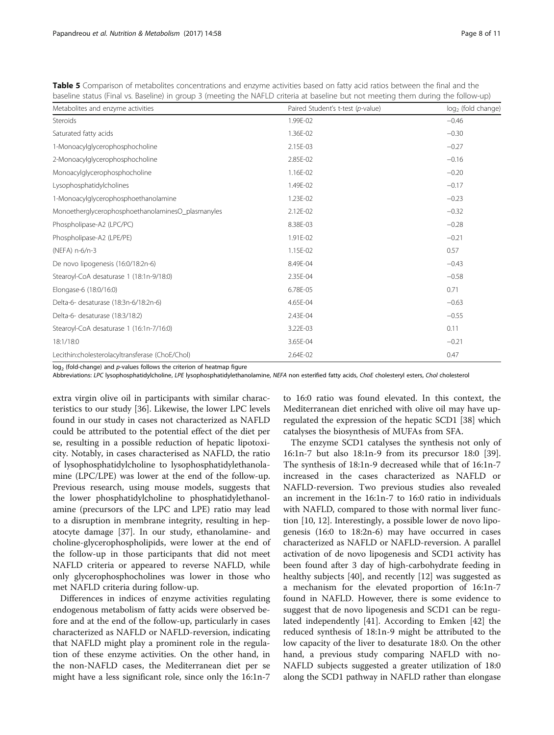<span id="page-7-0"></span>Table 5 Comparison of metabolites concentrations and enzyme activities based on fatty acid ratios between the final and the baseline status (Final vs. Baseline) in group 3 (meeting the NAFLD criteria at baseline but not meeting them during the follow-up)

| Metabolites and enzyme activities                 | Paired Student's t-test (p-value) | $log2$ (fold change) |
|---------------------------------------------------|-----------------------------------|----------------------|
| Steroids                                          | 1.99E-02                          | $-0.46$              |
| Saturated fatty acids                             | 1.36E-02                          | $-0.30$              |
| 1-Monoacylglycerophosphocholine                   | 2.15E-03                          | $-0.27$              |
| 2-Monoacylglycerophosphocholine                   | 2.85E-02                          | $-0.16$              |
| Monoacylglycerophosphocholine                     | 1.16E-02                          | $-0.20$              |
| Lysophosphatidylcholines                          | 1.49E-02                          | $-0.17$              |
| 1-Monoacylglycerophosphoethanolamine              | 1.23E-02                          | $-0.23$              |
| MonoetherglycerophosphoethanolaminesO_plasmanyles | 2.12E-02                          | $-0.32$              |
| Phospholipase-A2 (LPC/PC)                         | 8.38E-03                          | $-0.28$              |
| Phospholipase-A2 (LPE/PE)                         | 1.91E-02                          | $-0.21$              |
| (NEFA) n-6/n-3                                    | 1.15E-02                          | 0.57                 |
| De novo lipogenesis (16:0/18:2n-6)                | 8.49E-04                          | $-0.43$              |
| Stearoyl-CoA desaturase 1 (18:1n-9/18:0)          | 2.35E-04                          | $-0.58$              |
| Elongase-6 (18:0/16:0)                            | 6.78E-05                          | 0.71                 |
| Delta-6- desaturase (18:3n-6/18:2n-6)             | 4.65E-04                          | $-0.63$              |
| Delta-6- desaturase (18:3/18:2)                   | 2.43E-04                          | $-0.55$              |
| Stearoyl-CoA desaturase 1 (16:1n-7/16:0)          | 3.22E-03                          | 0.11                 |
| 18:1/18:0                                         | 3.65E-04                          | $-0.21$              |
| Lecithin:cholesterolacyltransferase (ChoE/Chol)   | 2.64E-02                          | 0.47                 |

 $log<sub>2</sub>$  (fold-change) and p-values follows the criterion of heatmap figure

Abbreviations: LPC lysophosphatidylcholine, LPE lysophosphatidylethanolamine, NEFA non esterified fatty acids, ChoE cholesteryl esters, Chol cholesterol

extra virgin olive oil in participants with similar characteristics to our study [[36](#page-10-0)]. Likewise, the lower LPC levels found in our study in cases not characterized as NAFLD could be attributed to the potential effect of the diet per se, resulting in a possible reduction of hepatic lipotoxicity. Notably, in cases characterised as NAFLD, the ratio of lysophosphatidylcholine to lysophosphatidylethanolamine (LPC/LPE) was lower at the end of the follow-up. Previous research, using mouse models, suggests that the lower phosphatidylcholine to phosphatidylethanolamine (precursors of the LPC and LPE) ratio may lead to a disruption in membrane integrity, resulting in hepatocyte damage [\[37\]](#page-10-0). In our study, ethanolamine- and choline-glycerophospholipids, were lower at the end of the follow-up in those participants that did not meet NAFLD criteria or appeared to reverse NAFLD, while only glycerophosphocholines was lower in those who met NAFLD criteria during follow-up.

Differences in indices of enzyme activities regulating endogenous metabolism of fatty acids were observed before and at the end of the follow-up, particularly in cases characterized as NAFLD or NAFLD-reversion, indicating that NAFLD might play a prominent role in the regulation of these enzyme activities. On the other hand, in the non-NAFLD cases, the Mediterranean diet per se might have a less significant role, since only the 16:1n-7

to 16:0 ratio was found elevated. In this context, the Mediterranean diet enriched with olive oil may have upregulated the expression of the hepatic SCD1 [[38\]](#page-10-0) which catalyses the biosynthesis of MUFAs from SFA.

The enzyme SCD1 catalyses the synthesis not only of 16:1n-7 but also 18:1n-9 from its precursor 18:0 [\[39](#page-10-0)]. The synthesis of 18:1n-9 decreased while that of 16:1n-7 increased in the cases characterized as NAFLD or NAFLD-reversion. Two previous studies also revealed an increment in the 16:1n-7 to 16:0 ratio in individuals with NAFLD, compared to those with normal liver function [\[10,](#page-9-0) [12\]](#page-10-0). Interestingly, a possible lower de novo lipogenesis (16:0 to 18:2n-6) may have occurred in cases characterized as NAFLD or NAFLD-reversion. A parallel activation of de novo lipogenesis and SCD1 activity has been found after 3 day of high-carbohydrate feeding in healthy subjects [[40\]](#page-10-0), and recently [[12\]](#page-10-0) was suggested as a mechanism for the elevated proportion of 16:1n-7 found in NAFLD. However, there is some evidence to suggest that de novo lipogenesis and SCD1 can be regulated independently [[41\]](#page-10-0). According to Emken [\[42](#page-10-0)] the reduced synthesis of 18:1n-9 might be attributed to the low capacity of the liver to desaturate 18:0. On the other hand, a previous study comparing NAFLD with no-NAFLD subjects suggested a greater utilization of 18:0 along the SCD1 pathway in NAFLD rather than elongase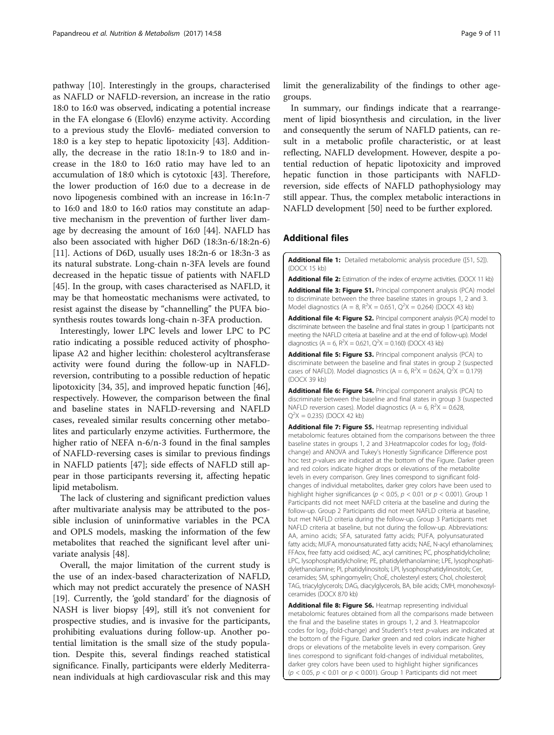<span id="page-8-0"></span>pathway [[10\]](#page-9-0). Interestingly in the groups, characterised as NAFLD or NAFLD-reversion, an increase in the ratio 18:0 to 16:0 was observed, indicating a potential increase in the FA elongase 6 (Elovl6) enzyme activity. According to a previous study the Elovl6- mediated conversion to 18:0 is a key step to hepatic lipotoxicity [[43\]](#page-10-0). Additionally, the decrease in the ratio 18:1n-9 to 18:0 and increase in the 18:0 to 16:0 ratio may have led to an accumulation of 18:0 which is cytotoxic [\[43](#page-10-0)]. Therefore, the lower production of 16:0 due to a decrease in de novo lipogenesis combined with an increase in 16:1n-7 to 16:0 and 18:0 to 16:0 ratios may constitute an adaptive mechanism in the prevention of further liver damage by decreasing the amount of 16:0 [[44\]](#page-10-0). NAFLD has also been associated with higher D6D (18:3n-6/18:2n-6) [[11\]](#page-10-0). Actions of D6D, usually uses 18:2n-6 or 18:3n-3 as its natural substrate. Long-chain n-3FA levels are found decreased in the hepatic tissue of patients with NAFLD [[45\]](#page-10-0). In the group, with cases characterised as NAFLD, it may be that homeostatic mechanisms were activated, to resist against the disease by "channelling" the PUFA biosynthesis routes towards long-chain n-3FA production.

Interestingly, lower LPC levels and lower LPC to PC ratio indicating a possible reduced activity of phospholipase A2 and higher lecithin: cholesterol acyltransferase activity were found during the follow-up in NAFLDreversion, contributing to a possible reduction of hepatic lipotoxicity [[34](#page-10-0), [35\]](#page-10-0), and improved hepatic function [\[46](#page-10-0)], respectively. However, the comparison between the final and baseline states in NAFLD-reversing and NAFLD cases, revealed similar results concerning other metabolites and particularly enzyme activities. Furthermore, the higher ratio of NEFA n-6/n-3 found in the final samples of NAFLD-reversing cases is similar to previous findings in NAFLD patients [\[47](#page-10-0)]; side effects of NAFLD still appear in those participants reversing it, affecting hepatic lipid metabolism.

The lack of clustering and significant prediction values after multivariate analysis may be attributed to the possible inclusion of uninformative variables in the PCA and OPLS models, masking the information of the few metabolites that reached the significant level after univariate analysis [\[48\]](#page-10-0).

Overall, the major limitation of the current study is the use of an index-based characterization of NAFLD, which may not predict accurately the presence of NASH [[19\]](#page-10-0). Currently, the 'gold standard' for the diagnosis of NASH is liver biopsy [\[49\]](#page-10-0), still it's not convenient for prospective studies, and is invasive for the participants, prohibiting evaluations during follow-up. Another potential limitation is the small size of the study population. Despite this, several findings reached statistical significance. Finally, participants were elderly Mediterranean individuals at high cardiovascular risk and this may

limit the generalizability of the findings to other agegroups.

In summary, our findings indicate that a rearrangement of lipid biosynthesis and circulation, in the liver and consequently the serum of NAFLD patients, can result in a metabolic profile characteristic, or at least reflecting, NAFLD development. However, despite a potential reduction of hepatic lipotoxicity and improved hepatic function in those participants with NAFLDreversion, side effects of NAFLD pathophysiology may still appear. Thus, the complex metabolic interactions in NAFLD development [[50](#page-10-0)] need to be further explored.

#### Additional files

[Additional file 1:](dx.doi.org/10.1186/s12986-017-0213-3) Detailed metabolomic analysis procedure ([[51, 52\]](#page-10-0)). (DOCX 15 kb)

[Additional file 2:](dx.doi.org/10.1186/s12986-017-0213-3) Estimation of the index of enzyme activities. (DOCX 11 kb)

[Additional file 3: Figure S1.](dx.doi.org/10.1186/s12986-017-0213-3) Principal component analysis (PCA) model to discriminate between the three baseline states in groups 1, 2 and 3. Model diagnostics (A = 8,  $R^2X = 0.651$ ,  $Q^2X = 0.264$ ) (DOCX 43 kb)

[Additional file 4: Figure S2.](dx.doi.org/10.1186/s12986-017-0213-3) Principal component analysis (PCA) model to discriminate between the baseline and final states in group 1 (participants not meeting the NAFLD criteria at baseline and at the end of follow-up). Model diagnostics ( $A = 6$ ,  $R^2X = 0.621$ ,  $Q^2X = 0.160$ ) (DOCX 43 kb)

[Additional file 5: Figure S3.](dx.doi.org/10.1186/s12986-017-0213-3) Principal component analysis (PCA) to discriminate between the baseline and final states in group 2 (suspected cases of NAFLD). Model diagnostics ( $A = 6$ ,  $R^2X = 0.624$ ,  $Q^2X = 0.179$ ) (DOCX 39 kb)

[Additional file 6: Figure S4.](dx.doi.org/10.1186/s12986-017-0213-3) Principal component analysis (PCA) to discriminate between the baseline and final states in group 3 (suspected NAFLD reversion cases). Model diagnostics ( $A = 6$ ,  $R^2X = 0.628$  $Q^2X = 0.235$ ) (DOCX 42 kb)

[Additional file 7: Figure S5.](dx.doi.org/10.1186/s12986-017-0213-3) Heatmap representing individual metabolomic features obtained from the comparisons between the three baseline states in groups 1, 2 and 3. Heatmapcolor codes for  $log<sub>2</sub>$  (foldchange) and ANOVA and Tukey's Honestly Significance Difference post hoc test p-values are indicated at the bottom of the Figure. Darker green and red colors indicate higher drops or elevations of the metabolite levels in every comparison. Grey lines correspond to significant foldchanges of individual metabolites, darker grey colors have been used to highlight higher significances ( $p < 0.05$ ,  $p < 0.01$  or  $p < 0.001$ ). Group 1 Participants did not meet NAFLD criteria at the baseline and during the follow-up. Group 2 Participants did not meet NAFLD criteria at baseline, but met NAFLD criteria during the follow-up. Group 3 Participants met NAFLD criteria at baseline, but not during the follow-up. Abbreviations: AA, amino acids; SFA, saturated fatty acids; PUFA, polyunsaturated fatty acids; MUFA, monounsaturated fatty acids; NAE, N-acyl ethanolamines; FFAox, free fatty acid oxidised; AC, acyl carnitines; PC, phosphatidylcholine; LPC, lysophosphatidylcholine; PE, phatidylethanolamine; LPE, lysophosphatidylethanolamine; PI, phatidylinositols; LPI, lysophosphatidylinositols; Cer, ceramides; SM, sphingomyelin; ChoE, cholesteryl esters; Chol, cholesterol; TAG, triacylglycerols; DAG, diacylglycerols, BA, bile acids; CMH, monohexosylceramides (DOCX 870 kb)

[Additional file 8: Figure S6.](dx.doi.org/10.1186/s12986-017-0213-3) Heatmap representing individual metabolomic features obtained from all the comparisons made between the final and the baseline states in groups 1, 2 and 3. Heatmapcolor codes for  $log<sub>2</sub>$  (fold-change) and Student's t-test p-values are indicated at the bottom of the Figure. Darker green and red colors indicate higher drops or elevations of the metabolite levels in every comparison. Grey lines correspond to significant fold-changes of individual metabolites, darker grey colors have been used to highlight higher significances ( $p < 0.05$ ,  $p < 0.01$  or  $p < 0.001$ ). Group 1 Participants did not meet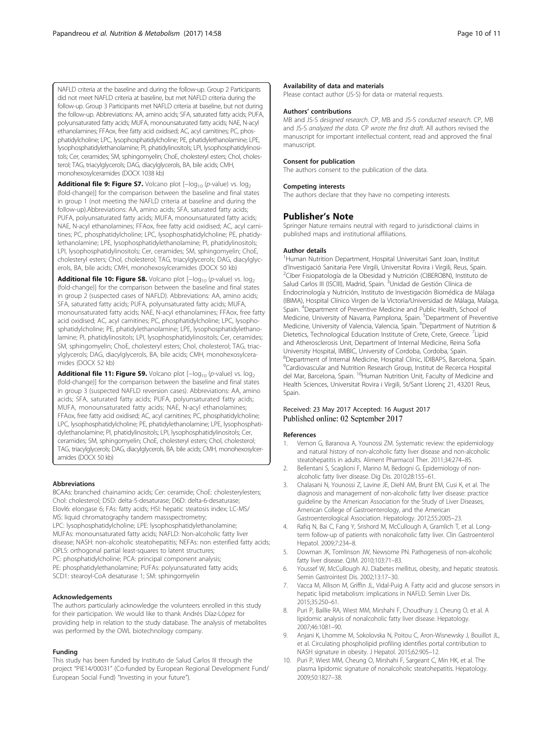<span id="page-9-0"></span>NAFLD criteria at the baseline and during the follow-up. Group 2 Participants did not meet NAFLD criteria at baseline, but met NAFLD criteria during the follow-up. Group 3 Participants met NAFLD criteria at baseline, but not during the follow-up. Abbreviations: AA, amino acids; SFA, saturated fatty acids; PUFA, polyunsaturated fatty acids; MUFA, monounsaturated fatty acids; NAE, N-acyl ethanolamines; FFAox, free fatty acid oxidised; AC, acyl carnitines; PC, phosphatidylcholine; LPC, lysophosphatidylcholine; PE, phatidylethanolamine; LPE, lysophosphatidylethanolamine; PI, phatidylinositols; LPI, lysophosphatidylinositols; Cer, ceramides; SM, sphingomyelin; ChoE, cholesteryl esters; Chol, cholesterol; TAG, triacylglycerols; DAG, diacylglycerols, BA, bile acids; CMH, monohexosylceramides (DOCX 1038 kb)

[Additional file 9: Figure S7.](dx.doi.org/10.1186/s12986-017-0213-3) Volcano plot  $[-\log_{10} (p\text{-value}) \text{ vs. } \log_2$ (fold-change)] for the comparison between the baseline and final states in group 1 (not meeting the NAFLD criteria at baseline and during the follow-up).Abbreviations: AA, amino acids; SFA, saturated fatty acids; PUFA, polyunsaturated fatty acids; MUFA, monounsaturated fatty acids; NAE, N-acyl ethanolamines; FFAox, free fatty acid oxidised; AC, acyl carnitines; PC, phosphatidylcholine; LPC, lysophosphatidylcholine; PE, phatidylethanolamine; LPE, lysophosphatidylethanolamine; PI, phatidylinositols; LPI, lysophosphatidylinositols; Cer, ceramides; SM, sphingomyelin; ChoE, cholesteryl esters; Chol, cholesterol; TAG, triacylglycerols; DAG, diacylglycerols, BA, bile acids; CMH, monohexosylceramides (DOCX 50 kb)

[Additional file 10: Figure S8.](dx.doi.org/10.1186/s12986-017-0213-3) Volcano plot  $[-\text{log}_{10} (p\text{-value}) \text{ vs. log}_{2}]$ (fold-change)] for the comparison between the baseline and final states in group 2 (suspected cases of NAFLD). Abbreviations: AA, amino acids; SFA, saturated fatty acids; PUFA, polyunsaturated fatty acids; MUFA, monounsaturated fatty acids; NAE, N-acyl ethanolamines; FFAox, free fatty acid oxidised; AC, acyl carnitines; PC, phosphatidylcholine; LPC, lysophosphatidylcholine; PE, phatidylethanolamine; LPE, lysophosphatidylethanolamine; PI, phatidylinositols; LPI, lysophosphatidylinositols; Cer, ceramides; SM, sphingomyelin; ChoE, cholesteryl esters; Chol, cholesterol; TAG, triacylglycerols; DAG, diacylglycerols, BA, bile acids; CMH, monohexosylceramides (DOCX 52 kb)

[Additional file 11: Figure S9.](dx.doi.org/10.1186/s12986-017-0213-3) Volcano plot [-log<sub>10</sub> (p-value) vs. log<sub>2</sub> (fold-change)] for the comparison between the baseline and final states in group 3 (suspected NAFLD reversion cases). Abbreviations: AA, amino acids; SFA, saturated fatty acids; PUFA, polyunsaturated fatty acids; MUFA, monounsaturated fatty acids; NAE, N-acyl ethanolamines; FFAox, free fatty acid oxidised; AC, acyl carnitines; PC, phosphatidylcholine; LPC, lysophosphatidylcholine; PE, phatidylethanolamine; LPE, lysophosphatidylethanolamine; PI, phatidylinositols; LPI, lysophosphatidylinositols; Cer, ceramides; SM, sphingomyelin; ChoE, cholesteryl esters; Chol, cholesterol; TAG, triacylglycerols; DAG, diacylglycerols, BA, bile acids; CMH, monohexosylceramides (DOCX 50 kb)

#### Abbreviations

BCAAs: branched chainamino acids; Cer: ceramide; ChoE: cholesterylesters; Chol: cholesterol; D5D: delta-5-desaturase; D6D: delta-6-desaturase; Elovl6: elongase 6; FAs: fatty acids; HSI: hepatic steatosis index; LC-MS/ MS: liquid chromatography tandem massspectrometry; LPC: lysophosphatidylcholine; LPE: lysophosphatidylethanolamine; MUFAs: monounsaturated fatty acids; NAFLD: Non-alcoholic fatty liver disease; NASH: non-alcoholic steatohepatitis; NEFAs: non esterified fatty acids; OPLS: orthogonal partial least-squares to latent structures; PC: phosphatidylcholine; PCA: principal component analysis; PE: phosphatidylethanolamine; PUFAs: polyunsaturated fatty acids; SCD1: stearoyl-CoA desaturase 1; SM: sphingomyelin

#### Acknowledgements

The authors particularly acknowledge the volunteers enrolled in this study for their participation. We would like to thank [Andrés](https://www.ncbi.nlm.nih.gov/pubmed/?term=D%26%23x000ed%3Baz-L%26%23x000f3%3Bpez%20A%5BAuthor%5D&cauthor=true&cauthor_uid=26739996) Díaz-López for providing help in relation to the study database. The analysis of metabolites was performed by the OWL biotechnology company.

#### Funding

This study has been funded by Instituto de Salud Carlos III through the project "PIE14/00031" (Co-funded by European Regional Development Fund/ European Social Fund) "Investing in your future").

#### Availability of data and materials

Please contact author (JS-S) for data or material requests.

#### Authors' contributions

MB and JS-S designed research. CP, MB and JS-S conducted research. CP, MB and JS-S analyzed the data. CP wrote the first draft. All authors revised the manuscript for important intellectual content, read and approved the final manuscript.

#### Consent for publication

The authors consent to the publication of the data.

#### Competing interests

The authors declare that they have no competing interests.

#### Publisher's Note

Springer Nature remains neutral with regard to jurisdictional claims in published maps and institutional affiliations.

#### Author details

<sup>1</sup>Human Nutrition Department, Hospital Universitari Sant Joan, Institut d'Investigació Sanitaria Pere Virgili, Universitat Rovira i Virgili, Reus, Spain. <sup>2</sup>Ciber Fisiopatología de la Obesidad y Nutrición (CIBEROBN), Instituto de Salud Carlos III (ISCIII), Madrid, Spain. <sup>3</sup>Unidad de Gestión Clínica de Endocrinología y Nutrición, Instituto de Investigación Biomédica de Málaga (IBIMA), Hospital Clínico Virgen de la Victoria/Universidad de Málaga, Malaga, Spain. <sup>4</sup> Department of Preventive Medicine and Public Health, School of Medicine, University of Navarra, Pamplona, Spain. <sup>5</sup>Department of Preventive Medicine, University of Valencia, Valencia, Spain. <sup>6</sup>Department of Nutrition & Dietetics, Technological Education Institute of Crete, Crete, Greece. <sup>7</sup>Lipid and Atherosclerosis Unit, Department of Internal Medicine, Reina Sofia University Hospital, IMIBIC, University of Cordoba, Cordoba, Spain. 8 Department of Internal Medicine, Hospital Clínic, IDIBAPS, Barcelona, Spain. <sup>9</sup>Cardiovascular and Nutrition Research Group, Institut de Recerca Hospital del Mar, Barcelona, Spain. <sup>10</sup>Human Nutrition Unit, Faculty of Medicine and Health Sciences, Universitat Rovira i Virgili, St/Sant Llorenç 21, 43201 Reus, Spain.

#### Received: 23 May 2017 Accepted: 16 August 2017 Published online: 02 September 2017

#### References

- 1. Vernon G, Baranova A, Younossi ZM. Systematic review: the epidemiology and natural history of non-alcoholic fatty liver disease and non-alcoholic steatohepatitis in adults. Aliment Pharmacol Ther. 2011;34:274–85.
- 2. Bellentani S, Scaglioni F, Marino M, Bedogni G. Epidemiology of nonalcoholic fatty liver disease. Dig Dis. 2010;28:155–61.
- 3. Chalasani N, Younossi Z, Lavine JE, Diehl AM, Brunt EM, Cusi K, et al. The diagnosis and management of non-alcoholic fatty liver disease: practice guideline by the American Association for the Study of Liver Diseases, American College of Gastroenterology, and the American Gastroenterological Association. Hepatology. 2012;55:2005–23.
- 4. Rafiq N, Bai C, Fang Y, Srishord M, McCullough A, Gramlich T, et al. Longterm follow-up of patients with nonalcoholic fatty liver. Clin Gastroenterol Hepatol. 2009;7:234–8.
- 5. Dowman JK, Tomlinson JW, Newsome PN. Pathogenesis of non-alcoholic fatty liver disease. QJM. 2010;103:71–83.
- 6. Youssef W, McCullough AJ. Diabetes mellitus, obesity, and hepatic steatosis. Semin Gastrointest Dis. 2002;13:17–30.
- 7. Vacca M, Allison M, Griffin JL, Vidal-Puig A. Fatty acid and glucose sensors in hepatic lipid metabolism: implications in NAFLD. Semin Liver Dis. 2015;35:250–61.
- 8. Puri P, Baillie RA, Wiest MM, Mirshahi F, Choudhury J, Cheung O, et al. A lipidomic analysis of nonalcoholic fatty liver disease. Hepatology. 2007;46:1081–90.
- 9. Anjani K, Lhomme M, Sokolovska N, Poitou C, Aron-Wisnewsky J, Bouillot JL, et al. Circulating phospholipid profiling identifies portal contribution to NASH signature in obesity. J Hepatol. 2015;62:905–12.
- 10. Puri P, Wiest MM, Cheung O, Mirshahi F, Sargeant C, Min HK, et al. The plasma lipidomic signature of nonalcoholic steatohepatitis. Hepatology. 2009;50:1827–38.